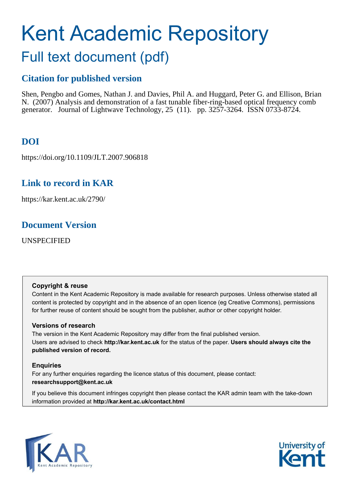# Kent Academic Repository Full text document (pdf)

# **Citation for published version**

Shen, Pengbo and Gomes, Nathan J. and Davies, Phil A. and Huggard, Peter G. and Ellison, Brian N. (2007) Analysis and demonstration of a fast tunable fiber-ring-based optical frequency comb generator. Journal of Lightwave Technology, 25 (11). pp. 3257-3264. ISSN 0733-8724.

## **DOI**

https://doi.org/10.1109/JLT.2007.906818

### **Link to record in KAR**

https://kar.kent.ac.uk/2790/

### **Document Version**

UNSPECIFIED

### **Copyright & reuse**

Content in the Kent Academic Repository is made available for research purposes. Unless otherwise stated all content is protected by copyright and in the absence of an open licence (eg Creative Commons), permissions for further reuse of content should be sought from the publisher, author or other copyright holder.

### **Versions of research**

The version in the Kent Academic Repository may differ from the final published version. Users are advised to check **http://kar.kent.ac.uk** for the status of the paper. **Users should always cite the published version of record.**

### **Enquiries**

For any further enquiries regarding the licence status of this document, please contact: **researchsupport@kent.ac.uk**

If you believe this document infringes copyright then please contact the KAR admin team with the take-down information provided at **http://kar.kent.ac.uk/contact.html**



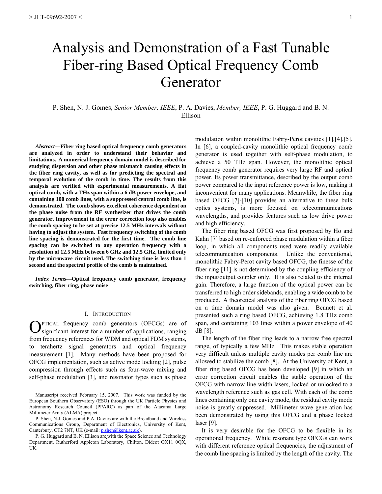# Analysis and Demonstration of a Fast Tunable Fiber-ring Based Optical Frequency Comb Generator

P. Shen, N. J. Gomes, *Senior Member, IEEE*, P. A. Davies, *Member, IEEE*, P. G. Huggard and B. N. Ellison

*Abstract***—Fiber ring based optical frequency comb generators are analyzed in order to understand their behavior and limitations. A numerical frequency domain model is described for studying dispersion and other phase mismatch causing effects in the fiber ring cavity, as well as for predicting the spectral and temporal evolution of the comb in time. The results from this analysis are verified with experimental measurements. A flat optical comb, with a THz span within a 6 dB power envelope, and containing 100 comb lines, with a suppressed central comb line, is demonstrated. The comb shows excellent coherence dependent on the phase noise from the RF synthesizer that drives the comb generator. Improvement in the error correction loop also enables the comb spacing to be set at precise 12.5 MHz intervals without having to adjust the system. Fast frequency switching of the comb line spacing is demonstrated for the first time. The comb line spacing can be switched to any operation frequency with a resolution of 12.5 MHz between 6 GHz and 12.5 GHz, limited only by the microwave circuit used. The switching time is less than 1 second and the spectral profile of the comb is maintained.** 

*Index Terms***—Optical frequency comb generator, frequency switching, fiber ring, phase noise** 

#### I. INTRODUCTION

PTICAL frequency comb generators (OFCGs) are of **O**PTICAL frequency comb generators (OFCGs) are of significant interest for a number of applications, ranging from frequency references for WDM and optical FDM systems, to terahertz signal generators and optical frequency measurement [1]. Many methods have been proposed for OFCG implementation, such as active mode locking [2], pulse compression through effects such as four-wave mixing and self-phase modulation [3], and resonator types such as phase

Manuscript received February 15, 2007. This work was funded by the European Southern Observatory (ESO) through the UK Particle Physics and Astronomy Research Council (PPARC) as part of the Atacama Large Millimeter Array (ALMA) project.

P. Shen, N.J. Gomes and P.A. Davies are with the Broadband and Wireless Communications Group, Department of Electronics, University of Kent, Canterbury, CT2 7NT, UK (e-mail: *p.shen@kent.ac.uk*).

P. G. Huggard and B. N. Ellison are with the Space Science and Technology Department, Rutherford Appleton Laboratory, Chilton, Didcot OX11 0QX, UK.

modulation within monolithic Fabry-Perot cavities [1],[4],[5]. In [6], a coupled-cavity monolithic optical frequency comb generator is used together with self-phase modulation, to achieve a 50 THz span. However, the monolithic optical frequency comb generator requires very large RF and optical power. Its power transmittance, described by the output comb power compared to the input reference power is low, making it inconvenient for many applications. Meanwhile, the fiber ring based OFCG [7]-[10] provides an alternative to these bulk optics systems, is more focused on telecommunications wavelengths, and provides features such as low drive power and high efficiency.

The fiber ring based OFCG was first proposed by Ho and Kahn [7] based on re-enforced phase modulation within a fiber loop, in which all components used were readily available telecommunication components. Unlike the conventional, monolithic Fabry-Perot cavity based OFCG, the finesse of the fiber ring [11] is not determined by the coupling efficiency of the input/output coupler only. It is also related to the internal gain. Therefore, a large fraction of the optical power can be transferred to high order sidebands, enabling a wide comb to be produced. A theoretical analysis of the fiber ring OFCG based on a time domain model was also given. Bennett et al. presented such a ring based OFCG, achieving 1.8 THz comb span, and containing 103 lines within a power envelope of 40 dB [8].

The length of the fiber ring leads to a narrow free spectral range, of typically a few MHz. This makes stable operation very difficult unless multiple cavity modes per comb line are allowed to stabilize the comb [8]. At the University of Kent, a fiber ring based OFCG has been developed [9] in which an error correction circuit enables the stable operation of the OFCG with narrow line width lasers, locked or unlocked to a wavelength reference such as gas cell. With each of the comb lines containing only one cavity mode, the residual cavity mode noise is greatly suppressed. Millimeter wave generation has been demonstrated by using this OFCG and a phase locked laser [9].

It is very desirable for the OFCG to be flexible in its operational frequency. While resonant type OFCGs can work with different reference optical frequencies, the adjustment of the comb line spacing is limited by the length of the cavity. The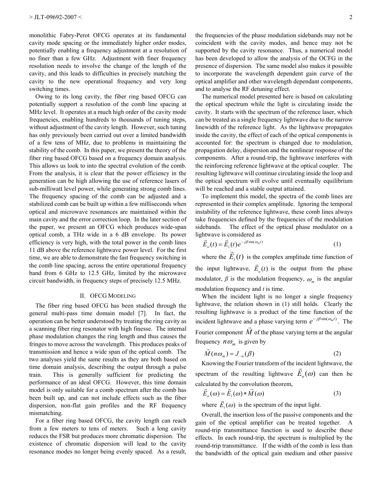monolithic Fabry-Perot OFCG operates at its fundamental cavity mode spacing or the immediately higher order modes, potentially enabling a frequency adjustment at a resolution of no finer than a few GHz. Adjustment with finer frequency resolution needs to involve the change of the length of the cavity, and this leads to difficulties in precisely matching the cavity to the new operational frequency and very long switching times.

Owing to its long cavity, the fiber ring based OFCG can potentially support a resolution of the comb line spacing at MHz level. It operates at a much high order of the cavity mode frequencies, enabling hundreds to thousands of tuning steps, without adjustment of the cavity length. However, such tuning has only previously been carried out over a limited bandwidth of a few tens of MHz, due to problems in maintaining the stability of the comb. In this paper, we present the theory of the fiber ring based OFCG based on a frequency domain analysis. This allows us look to into the spectral evolution of the comb. From the analysis, it is clear that the power efficiency in the generation can be high allowing the use of reference lasers of sub-milliwatt level power, while generating strong comb lines. The frequency spacing of the comb can be adjusted and a stabilized comb can be built up within a few milliseconds when optical and microwave resonances are maintained within the main cavity and the error correction loop. In the later section of the paper, we present an OFCG which produces wide-span optical comb, a THz wide in a 6 dB envelope. Its power efficiency is very high, with the total power in the comb lines 11 dB above the reference lightwave power level. For the first time, we are able to demonstrate the fast frequency switching in the comb line spacing, across the entire operational frequency band from 6 GHz to 12.5 GHz, limited by the microwave circuit bandwidth, in frequency steps of precisely 12.5 MHz.

#### II. OFCG MODELING

The fiber ring based OFCG has been studied through the general multi-pass time domain model [7]. In fact, the operation can be better understood by treating the ring cavity as a scanning fiber ring resonator with high finesse. The internal phase modulation changes the ring length and thus causes the fringes to move across the wavelength. This produces peaks of transmission and hence a wide span of the optical comb. The two analyses yield the same results as they are both based on time domain analysis, describing the output through a pulse train. This is generally sufficient for predicting the performance of an ideal OFCG. However, this time domain model is only suitable for a comb spectrum after the comb has been built up, and can not include effects such as the fiber dispersion, non-flat gain profiles and the RF frequency mismatching.

For a fiber ring based OFCG, the cavity length can reach from a few meters to tens of meters. Such a long cavity reduces the FSR but produces more chromatic dispersion. The existence of chromatic dispersion will lead to the cavity resonance modes no longer being evenly spaced. As a result,

the frequencies of the phase modulation sidebands may not be coincident with the cavity modes, and hence may not be supported by the cavity resonance. Thus, a numerical model has been developed to allow the analysis of the OCFG in the presence of dispersion. The same model also makes it possible to incorporate the wavelength dependent gain curve of the optical amplifier and other wavelength dependant components, and to analyse the RF detuning effect.

The numerical model presented here is based on calculating the optical spectrum while the light is circulating inside the cavity. It starts with the spectrum of the reference laser, which can be treated as a single frequency lightwave due to the narrow linewidth of the reference light. As the lightwave propagates inside the cavity, the effect of each of the optical components is accounted for: the spectrum is changed due to modulation, propagation delay, dispersion and the nonlinear response of the components. After a round-trip, the lightwave interferes with the reinforcing reference lightwave at the optical coupler. The resulting lightwave will continue circulating inside the loop and the optical spectrum will evolve until eventually equilibrium will be reached and a stable output attained.

To implement this model, the spectra of the comb lines are represented in their complex amplitude. Ignoring the temporal instability of the reference lightwave, these comb lines always take frequencies defined by the frequencies of the modulation sidebands. The effect of the optical phase modulator on a lightwave is considered as

$$
\vec{E}_o(t) = \vec{E}_i(t)e^{-j\beta \sin(\omega_m t)}
$$
 (1)

where the  $E_i(t)$  is the complex amplitude time function of the input lightwave,  $E_o(t)$  $\rightarrow$ is the output from the phase modulator,  $\beta$  is the modulation frequency,  $\omega_m$  is the angular modulation frequency and *t* is time.

When the incident light is no longer a single frequency lightwave, the relation shown in (1) still holds. Clearly the resulting lightwave is a product of the time function of the incident lightwave and a phase varying term  $e^{-j\beta \sin(\omega_m t)}$ . The Fourier component  $M$  of the phase varying term at the angular  $\ddot{\ }$ frequency  $n\omega_m$  is given by

$$
\overrightarrow{M}(n\omega_m) = J_{-n}(\beta) \tag{2}
$$

Knowing the Fourier transform of the incident lightwave, the r spectrum of the resulting lightwave  $E_o(\omega)$  can then be calculated by the convolution theorem,

$$
\vec{E}_o(\omega) = \vec{E}_i(\omega) * \vec{M}(\omega)
$$
\n(3)

where  $E_i(\omega)$ is the spectrum of the input light.

Overall, the insertion loss of the passive components and the gain of the optical amplifier can be treated together. A round-trip transmittance function is used to describe these effects. In each round-trip, the spectrum is multiplied by the round-trip transmittance. If the width of the comb is less than the bandwidth of the optical gain medium and other passive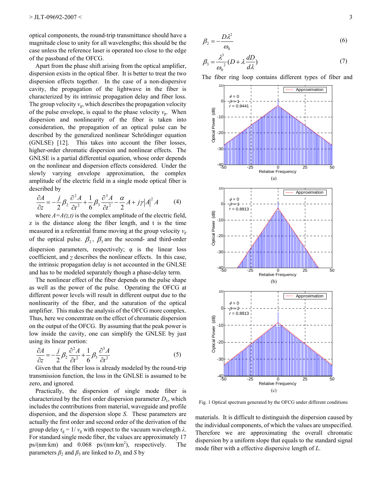optical components, the round-trip transmittance should have a magnitude close to unity for all wavelengths; this should be the case unless the reference laser is operated too close to the edge of the passband of the OFCG.

Apart from the phase shift arising from the optical amplifier, dispersion exists in the optical fiber. It is better to treat the two dispersion effects together. In the case of a non-dispersive cavity, the propagation of the lightwave in the fiber is characterized by its intrinsic propagation delay and fiber loss. The group velocity  $v_{\rm g}$ , which describes the propagation velocity of the pulse envelope, is equal to the phase velocity  $v_p$ . When dispersion and nonlinearity of the fiber is taken into consideration, the propagation of an optical pulse can be described by the generalized nonlinear Schrödinger equation (GNLSE) [12]. This takes into account the fiber losses, higher-order chromatic dispersion and nonlinear effects. The GNLSE is a partial differential equation, whose order depends on the nonlinear and dispersion effects considered. Under the slowly varying envelope approximation, the complex amplitude of the electric field in a single mode optical fiber is described by

$$
\frac{\partial A}{\partial z} = -\frac{j}{2} \beta_2 \frac{\partial^2 A}{\partial t^2} + \frac{1}{6} \beta_3 \frac{\partial^3 A}{\partial t^2} - \frac{\alpha}{2} A + j\gamma |A|^2 A \tag{4}
$$

where  $A = A(z,t)$  is the complex amplitude of the electric field, z is the distance along the fiber length, and t is the time measured in a referential frame moving at the group velocity  $v_g$ of the optical pulse.  $\beta_2$ ,  $\beta_3$  are the second- and third-order dispersion parameters, respectively;  $\alpha$  is the linear loss coefficient, and *γ* describes the nonlinear effects. In this case, the intrinsic propagation delay is not accounted in the GNLSE and has to be modeled separately though a phase-delay term.

The nonlinear effect of the fiber depends on the pulse shape as well as the power of the pulse. Operating the OFCG at different power levels will result in different output due to the nonlinearity of the fiber, and the saturation of the optical amplifier. This makes the analysis of the OFCG more complex. Thus, here we concentrate on the effect of chromatic dispersion on the output of the OFCG. By assuming that the peak power is low inside the cavity, one can simplify the GNLSE by just using its linear portion:

$$
\frac{\partial A}{\partial z} = -\frac{j}{2} \beta_2 \frac{\partial^2 A}{\partial t^2} + \frac{1}{6} \beta_3 \frac{\partial^3 A}{\partial t^2}
$$
(5)

Given that the fiber loss is already modeled by the round-trip transmission function, the loss in the GNLSE is assumed to be zero, and ignored.

Practically, the dispersion of single mode fiber is characterized by the first order dispersion parameter  $D_{\lambda}$ , which includes the contributions from material, waveguide and profile dispersion, and the dispersion slope *S*. These parameters are actually the first order and second order of the derivation of the group delay  $\tau_g = 1/v_g$  with respect to the vacuum wavelength  $\lambda$ . For standard single mode fiber, the values are approximately 17  $ps/(nm \cdot km)$  and 0.068  $ps/(nm \cdot km^2)$ , respectively. The parameters  $\beta_2$  and  $\beta_3$  are linked to  $D_\lambda$  and *S* by

$$
\beta_2 = -\frac{D\lambda^2}{\omega_0} \tag{6}
$$

$$
\beta_3 = \frac{\lambda^3}{\omega_0^2} (D + \lambda \frac{dD}{d\lambda})
$$
\n(7)

The fiber ring loop contains different types of fiber and



Fig. 1 Optical spectrum generated by the OFCG under different conditions

materials. It is difficult to distinguish the dispersion caused by the individual components, of which the values are unspecified. Therefore we are approximating the overall chromatic dispersion by a uniform slope that equals to the standard signal mode fiber with a effective dispersive length of *L*.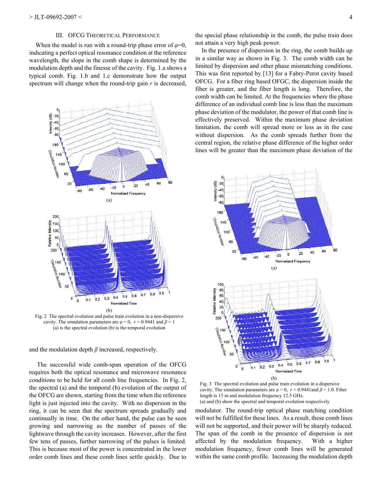#### III. OFCG THEORETICAL PERFORMANCE

When the model is run with a round-trip phase error of  $\varphi=0$ , indicating a perfect optical resonance condition at the reference wavelength, the slope in the comb shape is determined by the modulation depth and the finesse of the cavity. Fig. 1.a shows a typical comb. Fig. 1.b and 1.c demonstrate how the output spectrum will change when the round-trip gain *r* is decreased,



Fig. 2 The spectral evolution and pulse train evolution in a non-dispersive cavity. The simulation parameters are  $\varphi = 0$ ,  $r = 0.9441$  and  $\beta = 1$ (a) is the spectral evolution (b) is the temporal evolution

and the modulation depth  $\beta$  increased, respectively.

 The successful wide comb-span operation of the OFCG requires both the optical resonance and microwave resonance conditions to be held for all comb line frequencies. In Fig. 2, the spectral (a) and the temporal (b) evolution of the output of the OFCG are shown, starting from the time when the reference light is just injected into the cavity. With no dispersion in the ring, it can be seen that the spectrum spreads gradually and continually in time. On the other hand, the pulse can be seen growing and narrowing as the number of passes of the lightwave through the cavity increases. However, after the first few tens of passes, further narrowing of the pulses is limited. This is because most of the power is concentrated in the lower order comb lines and these comb lines settle quickly. Due to the special phase relationship in the comb, the pulse train does not attain a very high peak power.

In the presence of dispersion in the ring, the comb builds up in a similar way as shown in Fig. 3. The comb width can be limited by dispersion and other phase mismatching conditions. This was first reported by [13] for a Fabry-Perot cavity based OFCG. For a fiber ring based OFGC, the dispersion inside the fiber is greater, and the fiber length is long. Therefore, the comb width can be limited. At the frequencies where the phase difference of an individual comb line is less than the maximum phase deviation of the modulator, the power of that comb line is effectively preserved. Within the maximum phase deviation limitation, the comb will spread more or less as in the case without dispersion. As the comb spreads further from the central region, the relative phase difference of the higher order lines will be greater than the maximum phase deviation of the



Fig. 3 The spectral evolution and pulse train evolution in a dispersive cavity. The simulation parameters are  $\varphi = 0$ ,  $r = 0.9441$  and  $\beta = 1.0$ . Fiber length is 15 m and modulation frequency 12.5 GHz. (a) and (b) show the spectral and temporal evolution respectively

modulator. The round-trip optical phase matching condition will not be fulfilled for these lines. As a result, these comb lines will not be supported, and their power will be sharply reduced. The span of the comb in the presence of dispersion is not affected by the modulation frequency. With a higher modulation frequency, fewer comb lines will be generated within the same comb profile. Increasing the modulation depth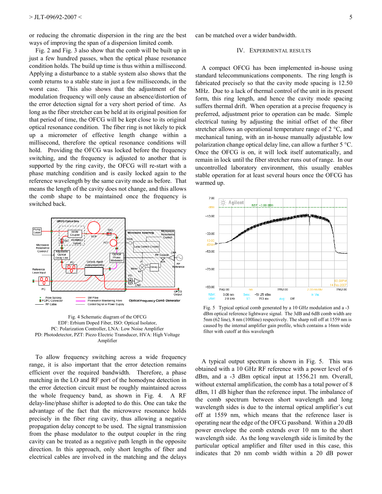or reducing the chromatic dispersion in the ring are the best ways of improving the span of a dispersion limited comb.

Fig. 2 and Fig. 3 also show that the comb will be built up in just a few hundred passes, when the optical phase resonance condition holds. The build up time is thus within a millisecond. Applying a disturbance to a stable system also shows that the comb returns to a stable state in just a few milliseconds, in the worst case. This also shows that the adjustment of the modulation frequency will only cause an absence/distortion of the error detection signal for a very short period of time. As long as the fiber stretcher can be held at its original position for that period of time, the OFCG will be kept close to its original optical resonance condition. The fiber ring is not likely to pick up a micrometer of effective length change within a millisecond, therefore the optical resonance conditions will hold. Providing the OFCG was locked before the frequency switching, and the frequency is adjusted to another that is supported by the ring cavity, the OFCG will re-start with a phase matching condition and is easily locked again to the reference wavelength by the same cavity mode as before. That means the length of the cavity does not change, and this allows the comb shape to be maintained once the frequency is switched back.



Fig. 4 Schematic diagram of the OFCG EDF: Erbium Doped Fiber, ISO: Optical Isolator, PC: Polarization Controller, LNA: Low Noise Amplifier PD: Photodetector, PZT: Piezo Electric Transducer, HVA: High Voltage Amplifier

To allow frequency switching across a wide frequency range, it is also important that the error detection remains efficient over the required bandwidth. Therefore, a phase matching in the LO and RF port of the homodyne detection in the error detection circuit must be roughly maintained across the whole frequency band, as shown in Fig. 4. A RF delay-line/phase shifter is adopted to do this. One can take the advantage of the fact that the microwave resonance holds precisely in the fiber ring cavity, thus allowing a negative propagation delay concept to be used. The signal transmission from the phase modulator to the output coupler in the ring cavity can be treated as a negative path length in the opposite direction. In this approach, only short lengths of fiber and electrical cables are involved in the matching and the delays

can be matched over a wider bandwidth.

#### IV. EXPERIMENTAL RESULTS

A compact OFCG has been implemented in-house using standard telecommunications components. The ring length is fabricated precisely so that the cavity mode spacing is 12.50 MHz. Due to a lack of thermal control of the unit in its present form, this ring length, and hence the cavity mode spacing suffers thermal drift. When operation at a precise frequency is preferred, adjustment prior to operation can be made. Simple electrical tuning by adjusting the initial offset of the fiber stretcher allows an operational temperature range of 2 °C, and mechanical tuning, with an in-house manually adjustable low polarization change optical delay line, can allow a further 5 °C. Once the OFCG is on, it will lock itself automatically, and remain in lock until the fiber stretcher runs out of range. In our uncontrolled laboratory environment, this usually enables stable operation for at least several hours once the OFCG has warmed up.



Fig. 5 Typical optical comb generated by a 10 GHz modulation and a -3 dBm optical reference lightwave signal. The 3dB and 6dB comb width are 5nm (62 line), 8 nm (100line) respectively. The sharp roll off at 1559 nm is caused by the internal amplifier gain profile, which contains a 16nm wide filter with cutoff at this wavelength

A typical output spectrum is shown in Fig. 5. This was obtained with a 10 GHz RF reference with a power level of 6 dBm, and a -3 dBm optical input at 1556.21 nm. Overall, without external amplification, the comb has a total power of 8 dBm, 11 dB higher than the reference input. The imbalance of the comb spectrum between short wavelength and long wavelength sides is due to the internal optical amplifier's cut off at 1559 nm, which means that the reference laser is operating near the edge of the OFCG passband. Within a 20 dB power envelope the comb extends over 10 nm to the short wavelength side. As the long wavelength side is limited by the particular optical amplifier and filter used in this case, this indicates that 20 nm comb width within a 20 dB power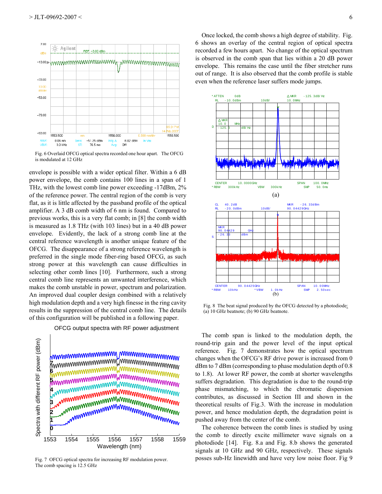

Fig. 6 Overlaid OFCG optical spectra recorded one hour apart. The OFCG is modulated at 12 GHz

envelope is possible with a wider optical filter. Within a 6 dB power envelope, the comb contains 100 lines in a span of 1 THz, with the lowest comb line power exceeding -17dBm, 2% of the reference power. The central region of the comb is very flat, as it is little affected by the passband profile of the optical amplifier. A 3 dB comb width of 6 nm is found. Compared to previous works, this is a very flat comb; in [8] the comb width is measured as 1.8 THz (with 103 lines) but in a 40 dB power envelope. Evidently, the lack of a strong comb line at the central reference wavelength is another unique feature of the OFCG. The disappearance of a strong reference wavelength is preferred in the single mode fiber-ring based OFCG, as such strong power at this wavelength can cause difficulties in selecting other comb lines [10]. Furthermore, such a strong central comb line represents an unwanted interference, which makes the comb unstable in power, spectrum and polarization. An improved dual coupler design combined with a relatively high modulation depth and a very high finesse in the ring cavity results in the suppression of the central comb line. The details of this configuration will be published in a following paper.



OFCG output spectra with RF power adjustment

Fig. 7 OFCG optical spectra for increasing RF modulation power. The comb spacing is 12.5 GHz

Once locked, the comb shows a high degree of stability. Fig. 6 shows an overlay of the central region of optical spectra recorded a few hours apart. No change of the optical spectrum is observed in the comb span that lies within a 20 dB power envelope. This remains the case until the fiber stretcher runs out of range. It is also observed that the comb profile is stable even when the reference laser suffers mode jumps.



Fig. 8 The beat signal produced by the OFCG detected by a photodiode: (a) 10 GHz beatnote; (b) 90 GHz beatnote.

The comb span is linked to the modulation depth, the round-trip gain and the power level of the input optical reference. Fig. 7 demonstrates how the optical spectrum changes when the OFCG's RF drive power is increased from 0 dBm to 7 dBm (corresponding to phase modulation depth of 0.8 to 1.8). At lower RF power, the comb at shorter wavelengths suffers degradation. This degradation is due to the round-trip phase mismatching, to which the chromatic dispersion contributes, as discussed in Section III and shown in the theoretical results of Fig.3. With the increase in modulation power, and hence modulation depth, the degradation point is pushed away from the center of the comb.

The coherence between the comb lines is studied by using the comb to directly excite millimeter wave signals on a photodiode [14]. Fig. 8.a and Fig. 8.b shows the generated signals at 10 GHz and 90 GHz, respectively. These signals posses sub-Hz linewidth and have very low noise floor. Fig 9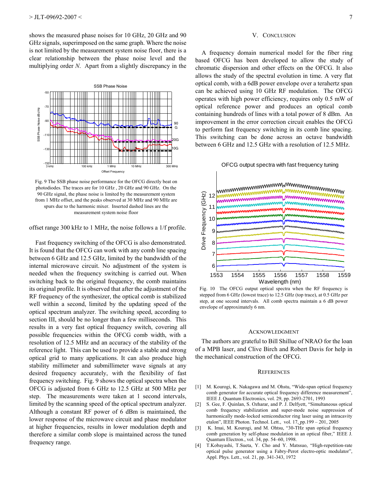shows the measured phase noises for 10 GHz, 20 GHz and 90 GHz signals, superimposed on the same graph. Where the noise is not limited by the measurement system noise floor, there is a clear relationship between the phase noise level and the multiplying order *N*. Apart from a slightly discrepancy in the



Fig. 9 The SSB phase noise performance for the OFCG directly beat on photodiodes. The traces are for 10 GHz , 20 GHz and 90 GHz. On the 90 GHz signal, the phase noise is limited by the measurement system from 1 MHz offset, and the peaks observed at 30 MHz and 90 MHz are spurs due to the harmonic mixer. Inserted dashed lines are the measurement system noise floor

offset range 300 kHz to 1 MHz, the noise follows a 1/f profile.

Fast frequency switching of the OFCG is also demonstrated. It is found that the OFCG can work with any comb line spacing between 6 GHz and 12.5 GHz, limited by the bandwidth of the internal microwave circuit. No adjustment of the system is needed when the frequency switching is carried out. When switching back to the original frequency, the comb maintains its original profile. It is observed that after the adjustment of the RF frequency of the synthesizer, the optical comb is stabilized well within a second, limited by the updating speed of the optical spectrum analyzer. The switching speed, according to section III, should be no longer than a few milliseconds. This results in a very fast optical frequency switch, covering all possible frequencies within the OFCG comb width, with a resolution of 12.5 MHz and an accuracy of the stability of the reference light. This can be used to provide a stable and strong optical grid to many applications. It can also produce high stability millimeter and submillimeter wave signals at any desired frequency accurately, with the flexibility of fast frequency switching. Fig. 9 shows the optical spectra when the OFCG is adjusted from 6 GHz to 12.5 GHz at 500 MHz per step. The measurements were taken at 1 second intervals, limited by the scanning speed of the optical spectrum analyzer. Although a constant RF power of 6 dBm is maintained, the lower response of the microwave circuit and phase modulator at higher frequencies, results in lower modulation depth and therefore a similar comb slope is maintained across the tuned frequency range.

#### V. CONCLUSION

A frequency domain numerical model for the fiber ring based OFCG has been developed to allow the study of chromatic dispersion and other effects on the OFCG. It also allows the study of the spectral evolution in time. A very flat optical comb, with a 6dB power envelope over a terahertz span can be achieved using 10 GHz RF modulation. The OFCG operates with high power efficiency, requires only 0.5 mW of optical reference power and produces an optical comb containing hundreds of lines with a total power of 8 dBm. An improvement in the error correction circuit enables the OFCG to perform fast frequency switching in its comb line spacing. This switching can be done across an octave bandwidth between 6 GHz and 12.5 GHz with a resolution of 12.5 MHz.

#### OFCG output spectra with fast frequency tuning



Fig. 10 The OFCG output optical spectra when the RF frequency is stepped from 6 GHz (lowest trace) to 12.5 GHz (top trace), at 0.5 GHz per step, at one second intervals. All comb spectra maintain a 6 dB power envelope of approximately 6 nm.

#### ACKNOWLEDGMENT

The authors are grateful to Bill Shillue of NRAO for the loan of a MPB laser, and Clive Birch and Robert Davis for help in the mechanical construction of the OFCG.

#### **REFERENCES**

- [1] M. Kourogi, K. Nakagawa and M. Ohstu, "Wide-span optical frequency comb generator for accurate optical frequency difference measurement", IEEE J. Quantum Electronics, vol. 29, pp. 2693-2701, 1993
- [2] S. Gee, F. Quinlan, S. Ozharar, and P. J. Delfyett, "Simultaneous optical comb frequency stabilization and super-mode noise suppression of harmonically mode-locked semiconductor ring laser using an intracavity etalon", IEEE Photon. Technol. Lett., vol. 17, pp. 199 - 201, 2005
- [3] K. Imai, M. Kourogi, and M. Ohtsu, "30-THz span optical frequency comb generation by self-phase modulation in an optical fiber," IEEE J. Quantum Electron., vol. 34, pp. 54–60, 1998.
- [4] T.Kobayashi, T.Sueta, Y. Cho and Y. Matssuo, "High-repetition-rate optical pulse generator using a Fabry-Perot electro-optic modulator", Appl. Phys. Lett., vol. 21, pp. 341-343, 1972